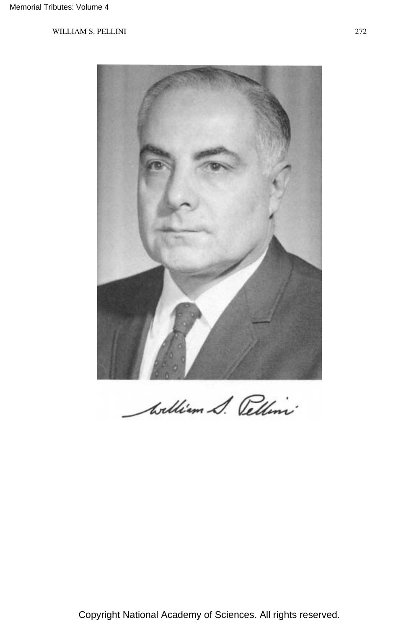

William S. Pellini

Copyright National Academy of Sciences. All rights reserved.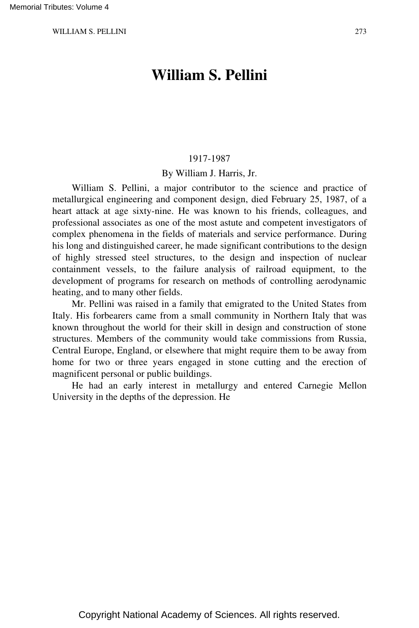# **William S. Pellini**

#### 1917-1987

#### By William J. Harris, Jr.

William S. Pellini, a major contributor to the science and practice of metallurgical engineering and component design, died February 25, 1987, of a heart attack at age sixty-nine. He was known to his friends, colleagues, and professional associates as one of the most astute and competent investigators of complex phenomena in the fields of materials and service performance. During his long and distinguished career, he made significant contributions to the design of highly stressed steel structures, to the design and inspection of nuclear containment vessels, to the failure analysis of railroad equipment, to the development of programs for research on methods of controlling aerodynamic heating, and to many other fields.

Mr. Pellini was raised in a family that emigrated to the United States from Italy. His forbearers came from a small community in Northern Italy that was known throughout the world for their skill in design and construction of stone structures. Members of the community would take commissions from Russia, Central Europe, England, or elsewhere that might require them to be away from home for two or three years engaged in stone cutting and the erection of magnificent personal or public buildings.

He had an early interest in metallurgy and entered Carnegie Mellon University in the depths of the depression. He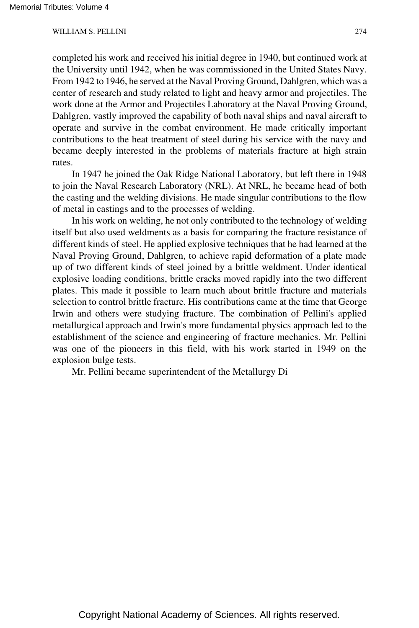completed his work and received his initial degree in 1940, but continued work at the University until 1942, when he was commissioned in the United States Navy. From 1942 to 1946, he served at the Naval Proving Ground, Dahlgren, which was a center of research and study related to light and heavy armor and projectiles. The work done at the Armor and Projectiles Laboratory at the Naval Proving Ground, Dahlgren, vastly improved the capability of both naval ships and naval aircraft to operate and survive in the combat environment. He made critically important contributions to the heat treatment of steel during his service with the navy and became deeply interested in the problems of materials fracture at high strain rates.

In 1947 he joined the Oak Ridge National Laboratory, but left there in 1948 to join the Naval Research Laboratory (NRL). At NRL, he became head of both the casting and the welding divisions. He made singular contributions to the flow of metal in castings and to the processes of welding.

In his work on welding, he not only contributed to the technology of welding itself but also used weldments as a basis for comparing the fracture resistance of different kinds of steel. He applied explosive techniques that he had learned at the Naval Proving Ground, Dahlgren, to achieve rapid deformation of a plate made up of two different kinds of steel joined by a brittle weldment. Under identical explosive loading conditions, brittle cracks moved rapidly into the two different plates. This made it possible to learn much about brittle fracture and materials selection to control brittle fracture. His contributions came at the time that George Irwin and others were studying fracture. The combination of Pellini's applied metallurgical approach and Irwin's more fundamental physics approach led to the establishment of the science and engineering of fracture mechanics. Mr. Pellini was one of the pioneers in this field, with his work started in 1949 on the explosion bulge tests.

Mr. Pellini became superintendent of the Metallurgy Di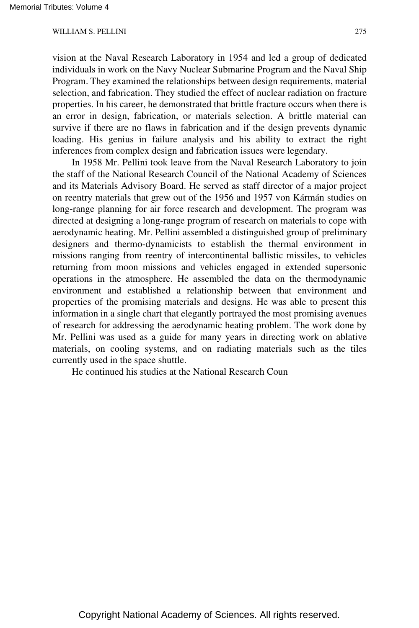vision at the Naval Research Laboratory in 1954 and led a group of dedicated individuals in work on the Navy Nuclear Submarine Program and the Naval Ship Program. They examined the relationships between design requirements, material selection, and fabrication. They studied the effect of nuclear radiation on fracture properties. In his career, he demonstrated that brittle fracture occurs when there is an error in design, fabrication, or materials selection. A brittle material can survive if there are no flaws in fabrication and if the design prevents dynamic loading. His genius in failure analysis and his ability to extract the right inferences from complex design and fabrication issues were legendary.

In 1958 Mr. Pellini took leave from the Naval Research Laboratory to join the staff of the National Research Council of the National Academy of Sciences and its Materials Advisory Board. He served as staff director of a major project on reentry materials that grew out of the 1956 and 1957 von Kármán studies on long-range planning for air force research and development. The program was directed at designing a long-range program of research on materials to cope with aerodynamic heating. Mr. Pellini assembled a distinguished group of preliminary designers and thermo-dynamicists to establish the thermal environment in missions ranging from reentry of intercontinental ballistic missiles, to vehicles returning from moon missions and vehicles engaged in extended supersonic operations in the atmosphere. He assembled the data on the thermodynamic environment and established a relationship between that environment and properties of the promising materials and designs. He was able to present this information in a single chart that elegantly portrayed the most promising avenues of research for addressing the aerodynamic heating problem. The work done by Mr. Pellini was used as a guide for many years in directing work on ablative materials, on cooling systems, and on radiating materials such as the tiles currently used in the space shuttle.

He continued his studies at the National Research Coun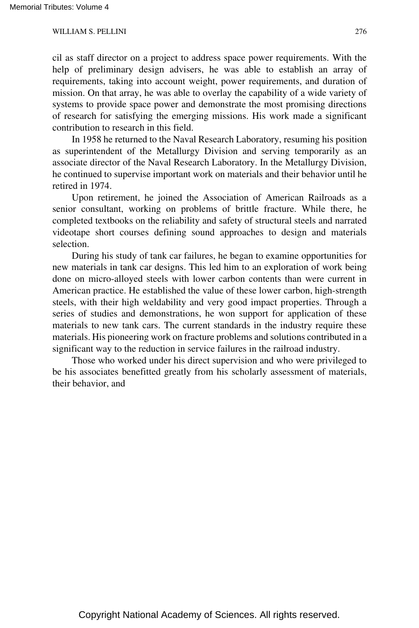cil as staff director on a project to address space power requirements. With the help of preliminary design advisers, he was able to establish an array of requirements, taking into account weight, power requirements, and duration of mission. On that array, he was able to overlay the capability of a wide variety of systems to provide space power and demonstrate the most promising directions of research for satisfying the emerging missions. His work made a significant contribution to research in this field.

In 1958 he returned to the Naval Research Laboratory, resuming his position as superintendent of the Metallurgy Division and serving temporarily as an associate director of the Naval Research Laboratory. In the Metallurgy Division, he continued to supervise important work on materials and their behavior until he retired in 1974.

Upon retirement, he joined the Association of American Railroads as a senior consultant, working on problems of brittle fracture. While there, he completed textbooks on the reliability and safety of structural steels and narrated videotape short courses defining sound approaches to design and materials selection.

During his study of tank car failures, he began to examine opportunities for new materials in tank car designs. This led him to an exploration of work being done on micro-alloyed steels with lower carbon contents than were current in American practice. He established the value of these lower carbon, high-strength steels, with their high weldability and very good impact properties. Through a series of studies and demonstrations, he won support for application of these materials to new tank cars. The current standards in the industry require these materials. His pioneering work on fracture problems and solutions contributed in a significant way to the reduction in service failures in the railroad industry.

Those who worked under his direct supervision and who were privileged to be his associates benefitted greatly from his scholarly assessment of materials, their behavior, and